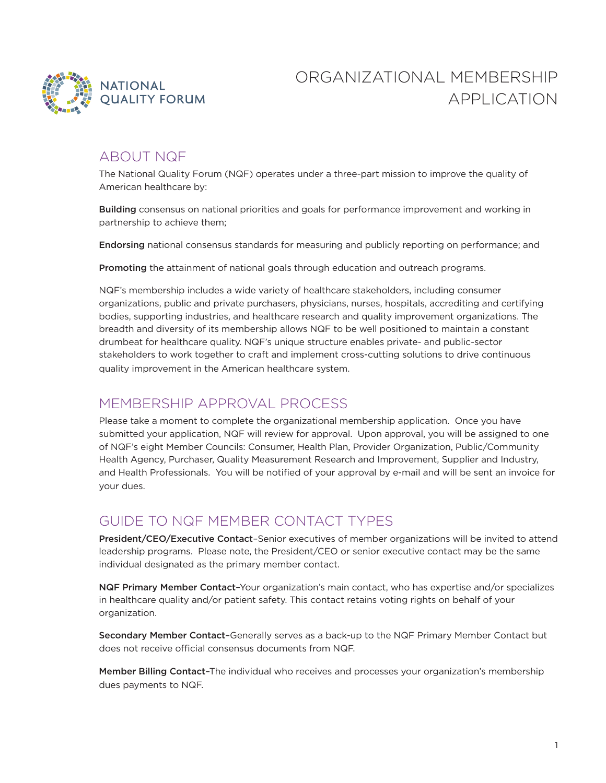

### ABOUT NQF

The National Quality Forum (NQF) operates under a three-part mission to improve the quality of American healthcare by:

Building consensus on national priorities and goals for performance improvement and working in partnership to achieve them;

Endorsing national consensus standards for measuring and publicly reporting on performance; and

Promoting the attainment of national goals through education and outreach programs.

NQF's membership includes a wide variety of healthcare stakeholders, including consumer organizations, public and private purchasers, physicians, nurses, hospitals, accrediting and certifying bodies, supporting industries, and healthcare research and quality improvement organizations. The breadth and diversity of its membership allows NQF to be well positioned to maintain a constant drumbeat for healthcare quality. NQF's unique structure enables private- and public-sector stakeholders to work together to craft and implement cross-cutting solutions to drive continuous quality improvement in the American healthcare system.

### MEMBERSHIP APPROVAL PROCESS

Please take a moment to complete the organizational membership application. Once you have submitted your application, NQF will review for approval. Upon approval, you will be assigned to one of NQF's eight Member Councils: Consumer, Health Plan, Provider Organization, Public/Community Health Agency, Purchaser, Quality Measurement Research and Improvement, Supplier and Industry, and Health Professionals. You will be notified of your approval by e-mail and will be sent an invoice for your dues.

#### GUIDE TO NQF MEMBER CONTACT TYPES

President/CEO/Executive Contact–Senior executives of member organizations will be invited to attend leadership programs. Please note, the President/CEO or senior executive contact may be the same individual designated as the primary member contact.

NQF Primary Member Contact–Your organization's main contact, who has expertise and/or specializes in healthcare quality and/or patient safety. This contact retains voting rights on behalf of your organization.

Secondary Member Contact–Generally serves as a back-up to the NQF Primary Member Contact but does not receive official consensus documents from NQF.

Member Billing Contact-The individual who receives and processes your organization's membership dues payments to NQF.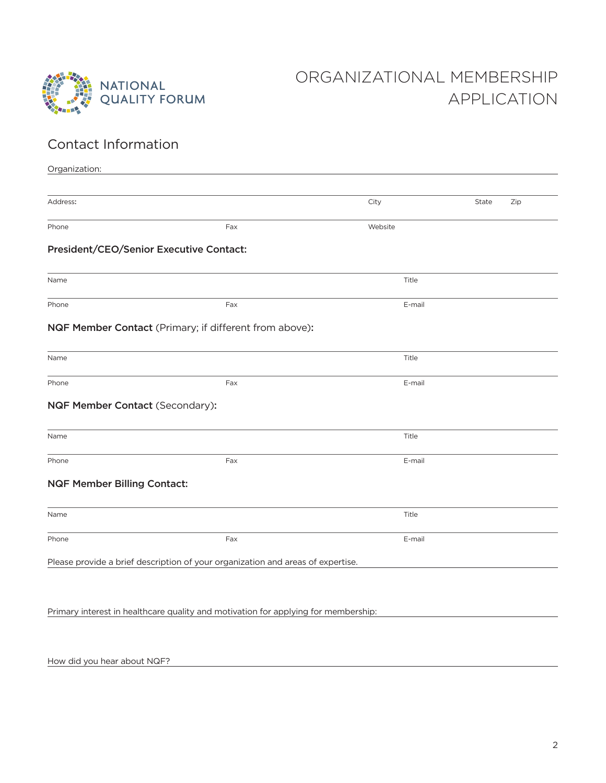

# ORGANIZATIONAL MEMBERSHIP APPLICATION

## Contact Information

| Organization:                      |                                                                                 |         |              |
|------------------------------------|---------------------------------------------------------------------------------|---------|--------------|
|                                    |                                                                                 |         |              |
| Address:                           |                                                                                 | City    | State<br>Zip |
| Phone                              | Fax                                                                             | Website |              |
|                                    | President/CEO/Senior Executive Contact:                                         |         |              |
| Name                               |                                                                                 | Title   |              |
| Phone                              | Fax                                                                             | E-mail  |              |
|                                    | NQF Member Contact (Primary; if different from above):                          |         |              |
| Name                               |                                                                                 | Title   |              |
| Phone                              | Fax                                                                             | E-mail  |              |
| NQF Member Contact (Secondary):    |                                                                                 |         |              |
| Name                               |                                                                                 | Title   |              |
| Phone                              | Fax                                                                             | E-mail  |              |
| <b>NQF Member Billing Contact:</b> |                                                                                 |         |              |
| Name                               |                                                                                 | Title   |              |
| Phone                              | Fax                                                                             | E-mail  |              |
|                                    | Please provide a brief description of your organization and areas of expertise. |         |              |
|                                    |                                                                                 |         |              |

Primary interest in healthcare quality and motivation for applying for membership:

How did you hear about NQF?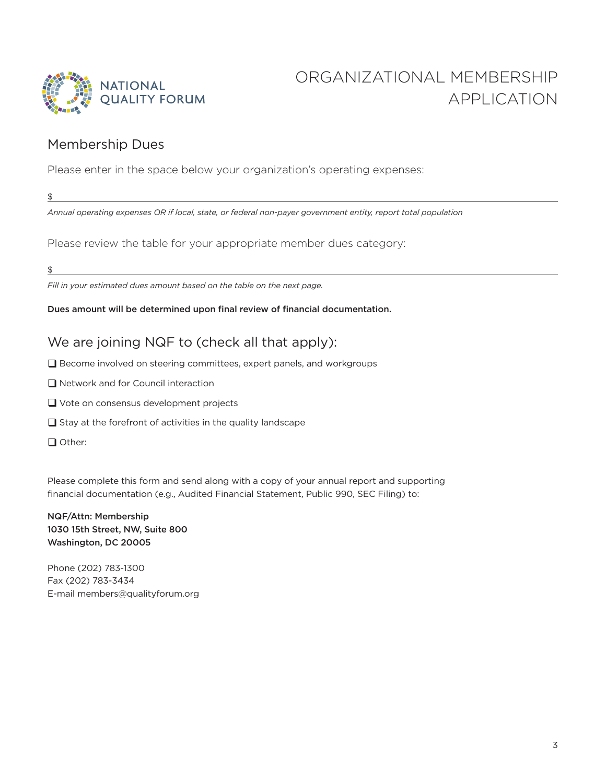

#### Membership Dues

Please enter in the space below your organization's operating expenses:

 $$\mathbb{S}$$ 

*Annual operating expenses OR if local, state, or federal non-payer government entity, report total population* 

Please review the table for your appropriate member dues category:

\$

*Fill in your estimated dues amount based on the table on the next page.*

Dues amount will be determined upon final review of financial documentation.

#### We are joining NQF to (check all that apply):

- $\Box$  Become involved on steering committees, expert panels, and workgroups
- $\Box$  Network and for Council interaction
- $\Box$  Vote on consensus development projects
- $\Box$  Stay at the forefront of activities in the quality landscape
- $\Box$  Other:

Please complete this form and send along with a copy of your annual report and supporting financial documentation (e.g., Audited Financial Statement, Public 990, SEC Filing) to:

NQF/Attn: Membership 1030 15th Street, NW, Suite 800 Washington, DC 20005

Phone (202) 783-1300 Fax (202) 783-3434 E-mail members@qualityforum.org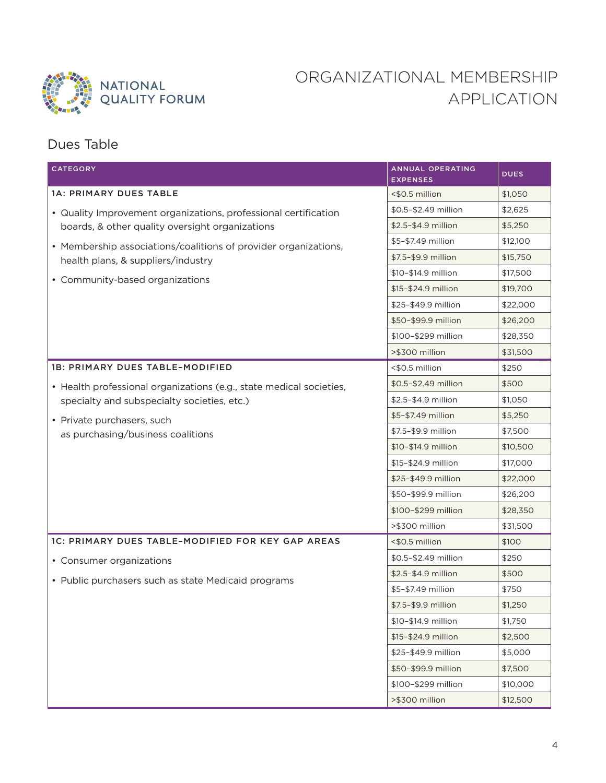

# ORGANIZATIONAL MEMBERSHIP APPLICATION

### Dues Table

| <b>CATEGORY</b>                                                     | ANNUAL OPERATING<br><b>EXPENSES</b> | <b>DUES</b> |
|---------------------------------------------------------------------|-------------------------------------|-------------|
| <b>1A: PRIMARY DUES TABLE</b>                                       | <\$0.5 million                      | \$1,050     |
| • Quality Improvement organizations, professional certification     | \$0.5-\$2.49 million                | \$2,625     |
| boards, & other quality oversight organizations                     | \$2.5-\$4.9 million                 | \$5,250     |
| • Membership associations/coalitions of provider organizations,     | \$5-\$7.49 million                  | \$12,100    |
| health plans, & suppliers/industry                                  | \$7.5-\$9.9 million                 | \$15,750    |
| • Community-based organizations                                     | \$10-\$14.9 million                 | \$17,500    |
|                                                                     | \$15-\$24.9 million                 | \$19,700    |
|                                                                     | \$25-\$49.9 million                 | \$22,000    |
|                                                                     | \$50-\$99.9 million                 | \$26,200    |
|                                                                     | \$100-\$299 million                 | \$28,350    |
|                                                                     | >\$300 million                      | \$31,500    |
| 1B: PRIMARY DUES TABLE-MODIFIED                                     | <\$0.5 million                      | \$250       |
| • Health professional organizations (e.g., state medical societies, | \$0.5-\$2.49 million                | \$500       |
| specialty and subspecialty societies, etc.)                         | \$2.5-\$4.9 million                 | \$1,050     |
| • Private purchasers, such                                          | \$5-\$7.49 million                  | \$5,250     |
| as purchasing/business coalitions                                   | \$7.5-\$9.9 million                 | \$7,500     |
|                                                                     | \$10-\$14.9 million                 | \$10,500    |
|                                                                     | \$15-\$24.9 million                 | \$17,000    |
|                                                                     | \$25-\$49.9 million                 | \$22,000    |
|                                                                     | \$50-\$99.9 million                 | \$26,200    |
|                                                                     | \$100-\$299 million                 | \$28,350    |
|                                                                     | >\$300 million                      | \$31,500    |
| <b>1C: PRIMARY DUES TABLE-MODIFIED FOR KEY GAP AREAS</b>            | <\$0.5 million                      | \$100       |
| • Consumer organizations                                            | \$0.5-\$2.49 million                | \$250       |
| • Public purchasers such as state Medicaid programs                 | \$2.5-\$4.9 million                 | \$500       |
|                                                                     | \$5-\$7.49 million                  | \$750       |
|                                                                     | \$7.5-\$9.9 million                 | \$1,250     |
|                                                                     | \$10-\$14.9 million                 | \$1,750     |
|                                                                     | \$15-\$24.9 million                 | \$2,500     |
|                                                                     | \$25-\$49.9 million                 | \$5,000     |
|                                                                     | \$50-\$99.9 million                 | \$7,500     |
|                                                                     | \$100-\$299 million                 | \$10,000    |
|                                                                     | >\$300 million                      | \$12,500    |